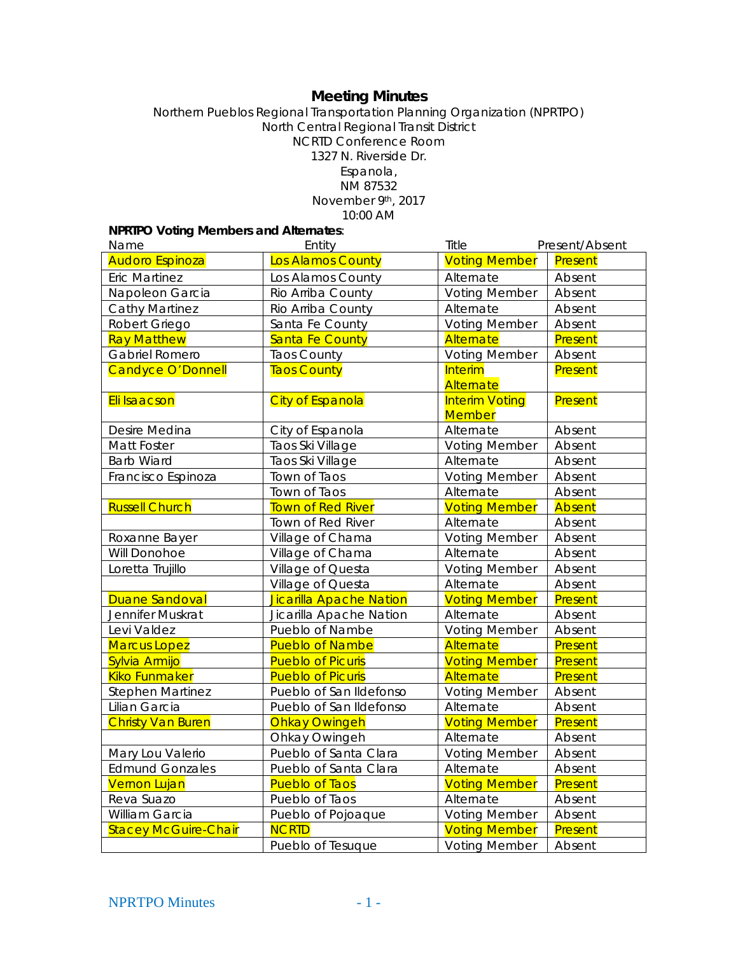# **Meeting Minutes**

Northern Pueblos Regional Transportation Planning Organization (NPRTPO) North Central Regional Transit District NCRTD Conference Room 1327 N. Riverside Dr. Espanola, NM 87532 November 9th, 2017

10:00 AM

## **NPRTPO Voting Members and Alternates**:

| Name                        | Entity                   | Title                                  | Present/Absent |
|-----------------------------|--------------------------|----------------------------------------|----------------|
| <b>Audoro Espinoza</b>      | Los Alamos County        | <b>Voting Member</b>                   | Present        |
| <b>Eric Martinez</b>        | Los Alamos County        | Alternate                              | Absent         |
| Napoleon Garcia             | Rio Arriba County        | <b>Voting Member</b>                   | Absent         |
| <b>Cathy Martinez</b>       | Rio Arriba County        | Alternate                              | Absent         |
| Robert Griego               | Santa Fe County          | <b>Voting Member</b>                   | Absent         |
| <b>Ray Matthew</b>          | <b>Santa Fe County</b>   | <b>Alternate</b>                       | Present        |
| Gabriel Romero              | <b>Taos County</b>       | <b>Voting Member</b>                   | Absent         |
| Candyce O'Donnell           | <b>Taos County</b>       | <b>Interim</b><br>Alternate            | Present        |
| Eli Isaacson                | <b>City of Espanola</b>  | <b>Interim Voting</b><br><b>Member</b> | Present        |
| Desire Medina               | City of Espanola         | Alternate                              | Absent         |
| Matt Foster                 | Taos Ski Village         | <b>Voting Member</b>                   | Absent         |
| <b>Barb Wiard</b>           | Taos Ski Village         | Alternate                              | Absent         |
| Francisco Espinoza          | Town of Taos             | <b>Voting Member</b>                   | Absent         |
|                             | Town of Taos             | Alternate                              | Absent         |
| <b>Russell Church</b>       | <b>Town of Red River</b> | <b>Voting Member</b>                   | Absent         |
|                             | Town of Red River        | Alternate                              | Absent         |
| Roxanne Bayer               | Village of Chama         | <b>Voting Member</b>                   | Absent         |
| Will Donohoe                | Village of Chama         | Alternate                              | Absent         |
| Loretta Trujillo            | Village of Questa        | <b>Voting Member</b>                   | Absent         |
|                             | Village of Questa        | Alternate                              | Absent         |
| <b>Duane Sandoval</b>       | Jicarilla Apache Nation  | <b>Voting Member</b>                   | Present        |
| Jennifer Muskrat            | Jicarilla Apache Nation  | Alternate                              | Absent         |
| Levi Valdez                 | Pueblo of Nambe          | <b>Voting Member</b>                   | Absent         |
| <b>Marcus Lopez</b>         | <b>Pueblo of Nambe</b>   | Alternate                              | Present        |
| Sylvia Armijo               | <b>Pueblo of Picuris</b> | <b>Voting Member</b>                   | Present        |
| <b>Kiko Funmaker</b>        | <b>Pueblo of Picuris</b> | Alternate                              | Present        |
| <b>Stephen Martinez</b>     | Pueblo of San Ildefonso  | <b>Voting Member</b>                   | Absent         |
| Lilian Garcia               | Pueblo of San Ildefonso  | Alternate                              | Absent         |
| <b>Christy Van Buren</b>    | <b>Ohkay Owingeh</b>     | <b>Voting Member</b>                   | Present        |
|                             | Ohkay Owingeh            | Alternate                              | Absent         |
| Mary Lou Valerio            | Pueblo of Santa Clara    | <b>Voting Member</b>                   | Absent         |
| <b>Edmund Gonzales</b>      | Pueblo of Santa Clara    | Alternate                              | Absent         |
| <b>Vernon Lujan</b>         | <b>Pueblo of Taos</b>    | <b>Voting Member</b>                   | Present        |
| Reva Suazo                  | Pueblo of Taos           | Alternate                              | Absent         |
| William Garcia              | Pueblo of Pojoaque       | <b>Voting Member</b>                   | Absent         |
| <b>Stacey McGuire-Chair</b> | <b>NCRTD</b>             | <b>Voting Member</b>                   | Present        |
|                             | Pueblo of Tesuque        | <b>Voting Member</b>                   | Absent         |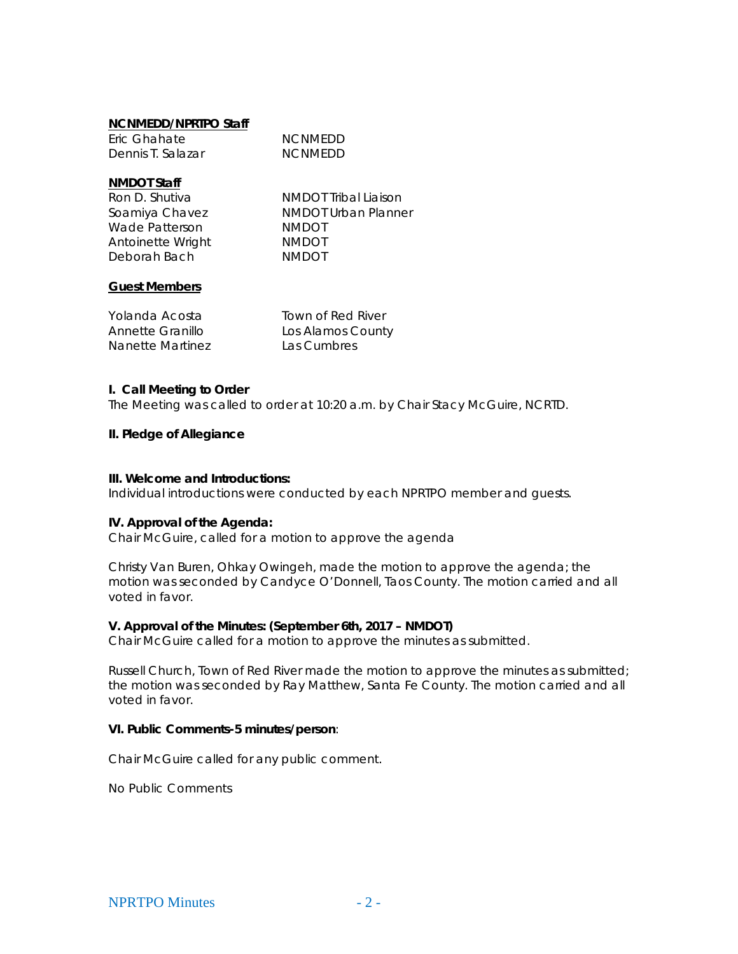#### **NCNMEDD/NPRTPO Staff**

| Eric Ghahate      | <b>NCNMEDD</b> |
|-------------------|----------------|
| Dennis T. Salazar | <b>NCNMEDD</b> |

#### **NMDOT Staff**

| Ron D. Shutiva    |  |
|-------------------|--|
| Soamiya Chavez    |  |
| Wade Patterson    |  |
| Antoinette Wright |  |
| Deborah Bach      |  |

NMDOT Tribal Liaison NMDOT Urban Planner NMDOT NMDOT NMDOT

#### **Guest Members**

| Yolanda Acosta   | Town of Red River |
|------------------|-------------------|
| Annette Granillo | Los Alamos County |
| Nanette Martinez | Las Cumbres       |

#### **I. Call Meeting to Order**

The Meeting was called to order at 10:20 a.m. by Chair Stacy McGuire, NCRTD.

#### **II. Pledge of Allegiance**

#### **III. Welcome and Introductions:**

Individual introductions were conducted by each NPRTPO member and guests.

## **IV. Approval of the Agenda:**

Chair McGuire, called for a motion to approve the agenda

Christy Van Buren, Ohkay Owingeh, made the motion to approve the agenda; the motion was seconded by Candyce O'Donnell, Taos County. The motion carried and all voted in favor.

## **V. Approval of the Minutes: (September 6th, 2017 – NMDOT)**

Chair McGuire called for a motion to approve the minutes as submitted.

Russell Church, Town of Red River made the motion to approve the minutes as submitted; the motion was seconded by Ray Matthew, Santa Fe County. The motion carried and all voted in favor.

## **VI. Public Comments-5 minutes/person**:

Chair McGuire called for any public comment.

No Public Comments